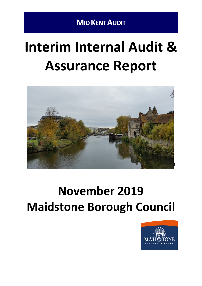# **Interim Internal Audit & Assurance Report**



# **November 2019 Maidstone Borough Council**

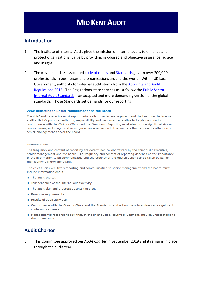### **Introduction**

- 1. The Institute of Internal Audit gives the mission of internal audit: to enhance and protect organisational value by providing risk-based and objective assurance, advice and insight.
- 2. The mission and its associated code of [ethics](https://na.theiia.org/standards-guidance/mandatory-guidance/Pages/Code-of-Ethics.aspx) and [Standards](https://www.iia.org.uk/resources/global-guidance/international-standards/) govern over 200,000 professionals in businesses and organisations around the world. Within UK Local Government, authority for internal audit stems from the [Accounts](http://www.legislation.gov.uk/uksi/2015/234/pdfs/uksi_20150234_en.pdf) and Audit [Regulations](http://www.legislation.gov.uk/uksi/2015/234/pdfs/uksi_20150234_en.pdf) 2015. The Regulations state services must follow the Public [Sector](http://www.cipfa.org/policy-and-guidance/standards/public-sector-internal-audit-standards) Internal Audit [Standards](http://www.cipfa.org/policy-and-guidance/standards/public-sector-internal-audit-standards) – an adapted and more demanding version of the global standards. Those Standards set demands for our reporting:

#### 2060 Reporting to Senior Management and the Board

The chief audit executive must report periodically to senior management and the board on the internal audit activity's purpose, authority, responsibility and performance relative to its plan and on its conformance with the Code of Ethics and the Standards. Reporting must also include significant risk and control issues, including fraud risks, governance issues and other matters that require the attention of senior management and/or the board.

#### Interpretation:

The frequency and content of reporting are determined collaboratively by the chief audit executive, senior management and the board. The frequency and content of reporting depends on the importance of the information to be communicated and the urgency of the related actions to be taken by senior management and/or the board.

The chief audit executive's reporting and communication to senior management and the board must include information about:

- The audit charter.
- Independence of the internal audit activity.
- The audit plan and progress against the plan.
- Resource requirements.
- Results of audit activities.
- Conformance with the Code of Ethics and the Standards, and action plans to address any significant conformance issues.
- Management's response to risk that, in the chief audit executive's judgment, may be unacceptable to the organisation.

### **Audit Charter**

3. This Committee approved our *Audit Charter* in September 2019 and it remains in place through the audit year.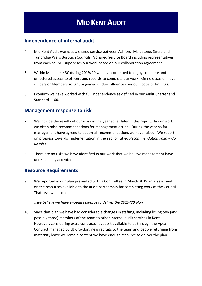### **Independence of internal audit**

- 4. Mid Kent Audit works as a shared service between Ashford, Maidstone, Swale and Tunbridge Wells Borough Councils. A Shared Service Board including representatives from each council supervises our work based on our collaboration agreement.
- 5. Within Maidstone BC during 2019/20 we have continued to enjoy complete and unfettered access to officers and records to complete our work. On no occasion have officers or Members sought or gained undue influence over our scope or findings.
- 6. I confirm we have worked with full independence as defined in our Audit Charter and Standard 1100.

### **Management response to risk**

- 7. We include the results of our work in the year so far later in this report. In our work we often raise recommendations for management action. During the year so far management have agreed to act on all recommendations we have raised. We report on progress towards implementation in the section titled *Recommendation Follow Up Results*.
- 8. There are no risks we have identified in our work that we believe management have unreasonably accepted.

### **Resource Requirements**

9. We reported in our plan presented to this Committee in March 2019 an assessment on the resources available to the audit partnership for completing work at the Council. That review decided:

#### *…we believe we have enough resource to deliver the 2019/20 plan*

10. Since that plan we have had considerable changes in staffing, including losing two (and possibly three) members of the team to other internal audit services in Kent. However, considering extra contractor support available to us through the Apex Contract managed by LB Croydon, new recruits to the team and people returning from maternity leave we remain content we have enough resource to deliver the plan.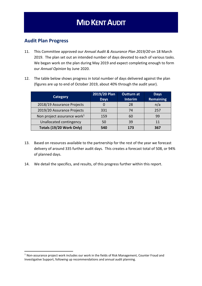### **Audit Plan Progress**

- 11. This Committee approved our *Annual Audit & Assurance Plan 2019/20* on 18 March 2019. The plan set out an intended number of days devoted to each of various tasks. We began work on the plan during May 2019 and expect completing enough to form our *Annual Opinion* by June 2020.
- 12. The table below shows progress in total number of days delivered against the plan (figures are up to end of October 2019, about 40% through the audit year).

| <b>Category</b>                         | 2019/20 Plan<br><b>Days</b> | <b>Outturn at</b><br><b>Interim</b> | <b>Days</b><br><b>Remaining</b> |
|-----------------------------------------|-----------------------------|-------------------------------------|---------------------------------|
| 2018/19 Assurance Projects              |                             | 28                                  | n/a                             |
| 2019/20 Assurance Projects              | 331                         | 74                                  | 257                             |
| Non project assurance work <sup>1</sup> | 159                         | 60                                  | 99                              |
| Unallocated contingency                 | 50                          | 39                                  | 11                              |
| Totals (19/20 Work Only)                | 540                         | 173                                 | 367                             |

- 13. Based on resources available to the partnership for the rest of the year we forecast delivery of around 335 further audit days. This creates a forecast total of 508, or 94% of planned days.
- 14. We detail the specifics, and results, of this progress further within this report.

<sup>1</sup> Non-assurance project work includes our work in the fields of Risk Management, Counter Fraud and Investigative Support, following up recommendations and annual audit planning.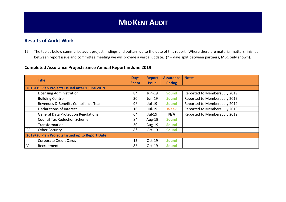### **Results of Audit Work**

15. The tables below summarise audit project findings and outturn up to the date of this report. Where there are material matters finished between report issue and committee meeting we will provide a verbal update. (\* = days split between partners, MBC only shown).

### **Completed Assurance Projects Since Annual Report in June 2019**

|              | <b>Title</b>                                   | <b>Days</b><br><b>Spent</b> | <b>Report</b><br><b>Issue</b> | <b>Assurance</b><br><b>Rating</b> | <b>Notes</b>                  |
|--------------|------------------------------------------------|-----------------------------|-------------------------------|-----------------------------------|-------------------------------|
|              | 2018/19 Plan Projects Issued after 1 June 2019 |                             |                               |                                   |                               |
|              | <b>Licensing Administration</b>                | $8*$                        | Jun-19                        | <b>Sound</b>                      | Reported to Members July 2019 |
|              | <b>Building Control</b>                        | 30                          | Jun-19                        | <b>Sound</b>                      | Reported to Members July 2019 |
|              | Revenues & Benefits Compliance Team            | 9*                          | Jul-19                        | <b>Sound</b>                      | Reported to Members July 2019 |
|              | Declarations of Interest                       | 16                          | Jul-19                        | <b>Weak</b>                       | Reported to Members July 2019 |
|              | <b>General Data Protection Regulations</b>     | $6*$                        | $Jul-19$                      | N/A                               | Reported to Members July 2019 |
|              | <b>Council Tax Reduction Scheme</b>            | $8*$                        | Aug-19                        | <b>Sound</b>                      |                               |
| $\mathbf{H}$ | Transformation                                 | 30                          | Aug- $19$                     | <b>Sound</b>                      |                               |
| IV           | <b>Cyber Security</b>                          | $8*$                        | $Oct-19$                      | <b>Sound</b>                      |                               |
|              | 2019/20 Plan Projects Issued up to Report Date |                             |                               |                                   |                               |
| III          | <b>Corporate Credit Cards</b>                  | 15                          | Oct-19                        | <b>Sound</b>                      |                               |
| V            | Recruitment                                    | $8*$                        | $Oct-19$                      | <b>Sound</b>                      |                               |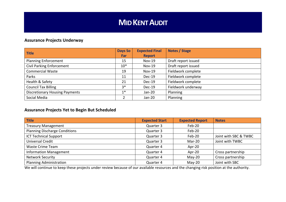### **Assurance Projects Underway**

| <b>Title</b>                          | <b>Days So</b> | <b>Expected Final</b> | Notes / Stage       |
|---------------------------------------|----------------|-----------------------|---------------------|
|                                       | <b>Far</b>     | <b>Report</b>         |                     |
| <b>Planning Enforcement</b>           | 15             | <b>Nov-19</b>         | Draft report issued |
| <b>Civil Parking Enforcement</b>      | $10*$          | <b>Nov-19</b>         | Draft report issued |
| <b>Commercial Waste</b>               | 19             | <b>Nov-19</b>         | Fieldwork complete  |
| Parks                                 | 11             | Dec-19                | Fieldwork complete  |
| Health & Safety                       | 21             | Dec-19                | Fieldwork complete  |
| <b>Council Tax Billing</b>            | $3*$           | $Dec-19$              | Fieldwork underway  |
| <b>Discretionary Housing Payments</b> | $1*$           | Jan-20                | Planning            |
| Social Media                          | ำ              | Jan-20                | Planning            |

# **Assurance Projects Yet to Begin But Scheduled**

| <b>Title</b>                         | <b>Expected Start</b> | <b>Expected Report</b> | <b>Notes</b>          |
|--------------------------------------|-----------------------|------------------------|-----------------------|
| <b>Treasury Management</b>           | Quarter 3             | Feb-20                 |                       |
| <b>Planning Discharge Conditions</b> | Quarter 3             | Feb-20                 |                       |
| <b>ICT Technical Support</b>         | Quarter 3             | Feb-20                 | Joint with SBC & TWBC |
| Universal Credit                     | Quarter 3             | Mar-20                 | Joint with TWBC       |
| <b>Waste Crime Team</b>              | Quarter 4             | Apr-20                 |                       |
| <b>Information Management</b>        | Quarter 4             | Apr- $20$              | Cross partnership     |
| <b>Network Security</b>              | Quarter 4             | $May-20$               | Cross partnership     |
| <b>Planning Administration</b>       | Quarter 4             | $May-20$               | Joint with SBC        |

We will continue to keep these projects under review because of our available resources and the changing risk position at the authority.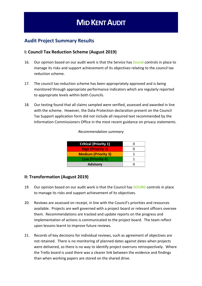### **Audit Project Summary Results**

### **I: Council Tax Reduction Scheme (August 2019)**

- 16. Our opinion based on our audit work is that the Service has **Sound** controls in place to manage its risks and support achievement of its objectives relating to the council tax reduction scheme.
- 17. The council tax reduction scheme has been appropriately approved and is being monitored through appropriate performance indicators which are regularly reported to appropriate levels within both Councils.
- 18. Our testing found that all claims sampled were verified, assessed and awarded in line with the scheme. However, the Data Protection declaration present on the Council Tax Support application form did not include all required text recommended by the Information Commissioners Office in the most recent guidance on privacy statements.

| <b>Critical (Priority 1)</b> |  |
|------------------------------|--|
| <b>High (Priority 2)</b>     |  |
| <b>Medium (Priority 3)</b>   |  |
| Low (Priority 4)             |  |
| <b>Advisory</b>              |  |

#### *Recommendation summary*

### **II: Transformation (August 2019)**

- 19. Our opinion based on our audit work is that the Council has **SOUND** controls in place to manage its risks and support achievement of its objectives.
- 20. Reviews are assessed on receipt, in line with the Council's priorities and resources available. Projects are well governed with a project board or relevant officers oversee them. Recommendations are tracked and update reports on the progress and implementation of actions is communicated to the project board. The team reflect upon lessons learnt to improve future reviews.
- 21. Records of key decisions for individual reviews, such as agreement of objectives are not retained. There is no monitoring of planned dates against dates when projects were delivered, so there is no way to identify project overruns retrospectively. Where the Trello board is used there was a clearer link between the evidence and findings than when working papers are stored on the shared drive.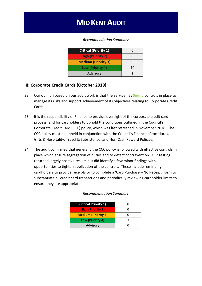#### *Recommendation Summary*

| <b>Critical (Priority 1)</b> |    |
|------------------------------|----|
| <b>High (Priority 2)</b>     |    |
| <b>Medium (Priority 3)</b>   |    |
| Low (Priority 4)             | 10 |
| <b>Advisory</b>              |    |

### **III: Corporate Credit Cards (October 2019)**

- 22. Our opinion based on our audit work is that the Service has **Sound** controls in place to manage its risks and support achievement of its objectives relating to Corporate Credit Cards.
- 23. It is the responsibility of Finance to provide oversight of the corporate credit card process, and for cardholders to uphold the conditions outlined in the Council's Corporate Credit Card (CCC) policy, which was last refreshed in November 2018. The CCC policy must be upheld in conjunction with the Council's Financial Procedures, Gifts & Hospitality, Travel & Subsistence, and Non-Cash Reward Policies.
- 24. The audit confirmed that generally the CCC policy is followed with effective controls in place which ensure segregation of duties and to detect contravention. Our testing returned largely positive results but did identify a few minor findings with opportunities to tighten application of the controls. These include reminding cardholders to provide receipts or to complete a 'Card Purchase – No Receipt' form to substantiate all credit card transactions and periodically reviewing cardholder limits to ensure they are appropriate.

| <b>Critical Priority 1)</b> |  |
|-----------------------------|--|
| <b>High (Priority 2)</b>    |  |
| <b>Medium (Priority 3)</b>  |  |
| Low (Priority 4)            |  |
| <b>Advisory</b>             |  |

#### *Recommendation Summary*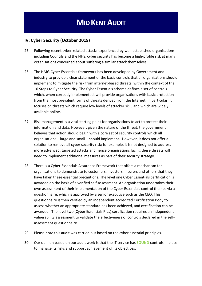### **IV: Cyber Security (October 2019)**

- 25. Following recent cyber-related attacks experienced by well-established organisations including Councils and the NHS, cyber security has become a high-profile risk at many organisations concerned about suffering a similar attack themselves.
- 26. The HMG Cyber Essentials framework has been developed by Government and industry to provide a clear statement of the basic controls that all organisations should implement to mitigate the risk from internet-based threats, within the context of the 10 Steps to Cyber Security. The Cyber Essentials scheme defines a set of controls which, when correctly implemented, will provide organisations with basic protection from the most prevalent forms of threats derived from the Internet. In particular, it focuses on threats which require low levels of attacker skill, and which are widely available online.
- 27. Risk management is a vital starting point for organisations to act to protect their information and data. However, given the nature of the threat, the government believes that action should begin with a core set of security controls which all organisations – large and small – should implement. However, it does not offer a solution to remove all cyber security risk; for example, it is not designed to address more advanced, targeted attacks and hence organisations facing these threats will need to implement additional measures as part of their security strategy.
- 28. There is a Cyber Essentials Assurance Framework that offers a mechanism for organisations to demonstrate to customers, investors, insurers and others that they have taken these essential precautions. The level one Cyber Essentials certification is awarded on the basis of a verified self-assessment. An organisation undertakes their own assessment of their implementation of the Cyber Essentials control themes via a questionnaire, which is approved by a senior executive such as the CEO. This questionnaire is then verified by an independent accredited Certification Body to assess whether an appropriate standard has been achieved, and certification can be awarded. The level two (Cyber Essentials Plus) certification requires an independent vulnerability assessment to validate the effectiveness of controls declared in the selfassessment questionnaire.
- 29. Please note this audit was carried out based on the cyber essential principles.
- 30. Our opinion based on our audit work is that the IT service has **SOUND** controls in place to manage its risks and support achievement of its objectives.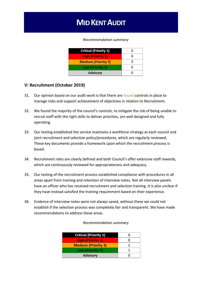#### *Recommendation summary*

| <b>Critical (Priority 1)</b> |  |
|------------------------------|--|
| <b>High (Priority 2)</b>     |  |
| <b>Medium (Priority 3)</b>   |  |
| Low (Priority 4)             |  |
| <b>Advisory</b>              |  |

### **V: Recruitment (October 2019)**

- 31. Our opinion based on our audit work is that there are **Sound** controls in place to manage risks and support achievement of objectives in relation to Recruitment.
- 32. We found the majority of the council's controls, to mitigate the risk of being unable to recruit staff with the right skills to deliver priorities, are well designed and fully operating.
- 33. Our testing established the service maintains a workforce strategy at each council and joint recruitment and selection policy/procedures, which are regularly reviewed. These key documents provide a framework upon which the recruitment process is based.
- 34. Recruitment roles are clearly defined and both Council's offer extensive staff rewards, which are continuously reviewed for appropriateness and adequacy.
- 35. Our testing of the recruitment process established compliance with procedures in all areas apart from training and retention of interview notes. Not all interview panels have an officer who has received recruitment and selection training. It is also unclear if they have instead satisfied the training requirement based on their experience.
- 36. Evidence of interview notes were not always saved, without these we could not establish if the selection process was completely fair and transparent. We have made recommendations to address these areas.

| <b>Critical (Priority 1)</b> |  |
|------------------------------|--|
| <b>High (Priority 2)</b>     |  |
| <b>Medium (Priority 3)</b>   |  |
| Low (Priority 4)             |  |
| <b>Advisory</b>              |  |

#### *Recommendation summary*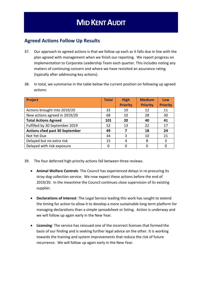### **Agreed Actions Follow Up Results**

- 37. Our approach to agreed actions is that we follow up each as it falls due in line with the plan agreed with management when we finish our reporting. We report progress on implementation to Corporate Leadership Team each quarter. This includes noting any matters of continuing concern and where we have revisited an assurance rating (typically after addressing key actions).
- 38. In total, we summarise in the table below the current position on following up agreed actions:

| <b>Project</b>                        | <b>Total</b> | <b>High</b>     | <b>Medium</b>   | Low             |
|---------------------------------------|--------------|-----------------|-----------------|-----------------|
|                                       |              | <b>Priority</b> | <b>Priority</b> | <b>Priority</b> |
| Actions brought into 2019/20          | 33           | 10              | 12              | 11              |
| New actions agreed in 2019/20         | 68           | 10              | 28              | 30              |
| <b>Total Actions Agreed</b>           | 101          | 20              | 40              | 41              |
| Fulfilled by 30 September 2019        | 52           | 13              | 22              | 17              |
| <b>Actions cfwd past 30 September</b> | 49           | 7               | 18              | 24              |
| Not Yet Due                           | 34           | 3               | 10              | 21              |
| Delayed but no extra risk             | 15           | 4               | 8               | 3               |
| Delayed with risk exposure            | 0            | 0               |                 |                 |

- 39. The four deferred high priority actions fall between three reviews.
	- **Animal Welfare Controls**: The Council has experienced delays in re-procuring its stray dog collection service. We now expect these actions before the end of 2019/20. In the meantime the Council continues close supervision of its existing supplier.
	- **Declarations of Interest**: The Legal Service leading this work has sought to extend the timing for action to allow it to develop a more sustainable long term platform for managing declarations than a simple spreadsheet or listing. Action is underway and we will follow up again early in the New Year.
	- **Licensing**: The service has reissued one of the incorrect licenses that formed the basis of our finding and is seeking further legal advice on the other. It is working towards the training and system improvements that reduce the risk of future recurrence. We will follow up again early in the New Year.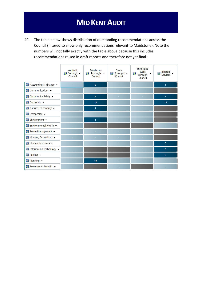40. The table below shows distribution of outstanding recommendations across the Council (filtered to show only recommendations relevant to Maidstone). Note the numbers will not tally exactly with the table above because this includes recommendations raised in draft reports and therefore not yet final.

|                                                    | Ashford<br>Borough ><br>Council | Maidstone<br>靇<br>Borough $\rightarrow$<br>Council | Swale<br>Borough ><br>Council | Tunbridge<br>Wells<br>Ĥ.<br>$\blacktriangleright$<br>Borough<br>Council | Shared<br>Ê.<br><b>Services</b> |
|----------------------------------------------------|---------------------------------|----------------------------------------------------|-------------------------------|-------------------------------------------------------------------------|---------------------------------|
| ₹ Accounting & Finance ▼                           | $\sim$                          | $\overline{3}$                                     | $\sim$                        | $\sim$                                                                  | $\mathbf{1}$                    |
| $\frac{1}{2}$ Communications $\blacktriangleright$ | $\sim$                          |                                                    | $\sim$                        | $\sim$                                                                  |                                 |
| <b>B</b> Community Safety $\blacktriangleright$    |                                 | $\overline{2}$                                     |                               |                                                                         | $\mathbf{1}$                    |
| $\frac{1}{2}$ Corporate $\rightarrow$              |                                 | 13                                                 | $\sim$                        | ×.                                                                      | 15                              |
| S Culture & Economy ▼                              |                                 | 1                                                  |                               |                                                                         |                                 |
| <b>&amp;</b> Democracy $\blacktriangleright$       |                                 |                                                    |                               |                                                                         |                                 |
| S Environment ▼                                    |                                 | $\mathbf{1}$                                       |                               |                                                                         |                                 |
| द, Environmental Health ▼                          |                                 |                                                    |                               |                                                                         |                                 |
| S Estate Management ▼                              |                                 |                                                    | ÷                             |                                                                         |                                 |
| S Housing & Landlord ▼                             | $\sim$                          |                                                    |                               |                                                                         |                                 |
| $\frac{1}{2}$ Human Resources $\rightarrow$        |                                 |                                                    | $\sim$                        |                                                                         | 9 <sup>°</sup>                  |
| <b>B</b> Information Technology $\rightarrow$      |                                 |                                                    |                               |                                                                         | 3                               |
| <b>B</b> Parking $\rightarrow$                     |                                 |                                                    |                               |                                                                         | 6                               |
| S Planning ▼                                       |                                 | 10                                                 |                               |                                                                         |                                 |
| Sevenues & Benefits ▼                              | $\sim$                          |                                                    |                               |                                                                         |                                 |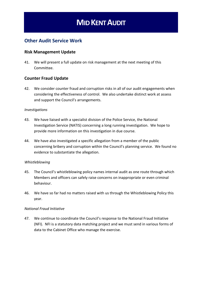### **Other Audit Service Work**

### **Risk Management Update**

41. We will present a full update on risk management at the next meeting of this Committee.

### **Counter Fraud Update**

42. We consider counter fraud and corruption risks in all of our audit engagements when considering the effectiveness of control. We also undertake distinct work at assess and support the Council's arrangements.

#### *Investigations*

- 43. We have liaised with a specialist division of the Police Service, the National Investigation Service (NATIS) concerning a long running investigation. We hope to provide more information on this investigation in due course.
- 44. We have also investigated a specific allegation from a member of the public concerning bribery and corruption within the Council's planning service. We found no evidence to substantiate the allegation.

#### *Whistleblowing*

- 45. The Council's whistleblowing policy names internal audit as one route through which Members and officers can safely raise concerns on inappropriate or even criminal behaviour.
- 46. We have so far had no matters raised with us through the Whistleblowing Policy this year.

#### *National Fraud Initiative*

47. We continue to coordinate the Council's response to the National Fraud Initiative (NFI). NFI is a statutory data matching project and we must send in various forms of data to the Cabinet Office who manage the exercise.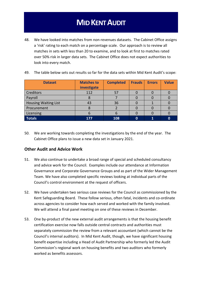48. We have looked into matches from non-revenues datasets. The Cabinet Office assigns a 'risk' rating to each match on a percentage scale. Our approach is to review all matches in sets with less than 20 to examine, and to look at first to matches rated over 50% risk in larger data sets. The Cabinet Office does not expect authorities to look into every match.

| <b>Dataset</b>              | <b>Matches to</b><br>investigate | <b>Completed</b> | <b>Frauds</b> | <b>Errors</b> | <b>Value</b> |
|-----------------------------|----------------------------------|------------------|---------------|---------------|--------------|
| Creditors                   | 112                              | 57               |               |               |              |
| Payroll                     |                                  |                  |               |               |              |
| <b>Housing Waiting List</b> | 43                               | 36               |               |               |              |
| Procurement                 |                                  |                  |               |               |              |
| Licensing                   | b                                | 6                |               |               |              |
| <b>Totals</b>               | 177                              | 108              |               |               | O            |

49. The table below sets out results so far for the data sets within Mid Kent Audit's scope:

50. We are working towards completing the investigations by the end of the year. The Cabinet Office plans to issue a new data set in January 2021.

### **Other Audit and Advice Work**

- 51. We also continue to undertake a broad range of special and scheduled consultancy and advice work for the Council. Examples include our attendance at Information Governance and Corporate Governance Groups and as part of the Wider Management Team. We have also completed specific reviews looking at individual parts of the Council's control environment at the request of officers.
- 52. We have undertaken two serious case reviews for the Council as commissioned by the Kent Safeguarding Board. These follow serious, often fatal, incidents and co-ordinate across agencies to consider how each served and worked with the family involved. We will attend a final panel meeting on one of these reviews in December.
- 53. One by-product of the new external audit arrangements is that the housing benefit certification exercise now falls outside central contracts and authorities must separately commission the review from a relevant accountant (which cannot be the Council's internal auditors). In Mid Kent Audit, though, we have significant housing benefit expertise including a Head of Audit Partnership who formerly led the Audit Commission's regional work on housing benefits and two auditors who formerly worked as benefits assessors.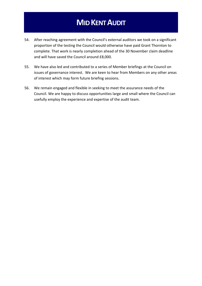- 54. After reaching agreement with the Council's external auditors we took on a significant proportion of the testing the Council would otherwise have paid Grant Thornton to complete. That work is nearly completion ahead of the 30 November claim deadline and will have saved the Council around £8,000.
- 55. We have also led and contributed to a series of Member briefings at the Council on issues of governance interest. We are keen to hear from Members on any other areas of interest which may form future briefing sessions.
- 56. We remain engaged and flexible in seeking to meet the assurance needs of the Council. We are happy to discuss opportunities large and small where the Council can usefully employ the experience and expertise of the audit team.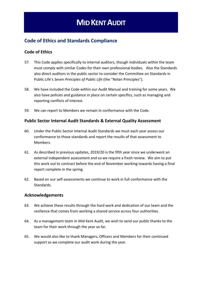## **Code of Ethics and Standards Compliance**

### **Code of Ethics**

- 57. This Code applies specifically to internal auditors, though individuals within the team must comply with similar Codes for their own professional bodies. Also the Standards also direct auditors in the public sector to consider the Committee on Standards in Public Life's *Seven Principles of Public Life* (the "Nolan Principles").
- 58. We have included the Code within our Audit Manual and training for some years. We also have policies and guidance in place on certain specifics, such as managing and reporting conflicts of interest.
- 59. We can report to Members we remain in conformance with the Code.

### **Public Sector Internal Audit Standards & External Quality Assessment**

- 60. Under the Public Sector Internal Audit Standards we must each year assess our conformance to those standards and report the results of that assessment to Members.
- 61. As described in previous updates, 2019/20 is the fifth year since we underwent an external independent assessment and so we require a fresh review. We aim to put this work out to contract before the end of November working towards having a final report complete in the spring.
- 62. Based on our self-assessments we continue to work in full conformance with the Standards.

### **Acknowledgements**

- 63. We achieve these results through the hard work and dedication of our team and the resilience that comes from working a shared service across four authorities.
- 64. As a management team in Mid Kent Audit, we wish to send our public thanks to the team for their work through the year so far.
- 65. We would also like to thank Managers, Officers and Members for their continued support as we complete our audit work during the year.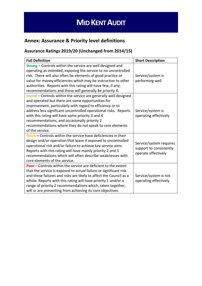# **Annex: Assurance & Priority level definitions**

## **Assurance Ratings 2019/20 (Unchanged from 2014/15)**

| <b>Full Definition</b>                                             | <b>Short Description</b> |
|--------------------------------------------------------------------|--------------------------|
| Strong - Controls within the service are well designed and         |                          |
| operating as intended, exposing the service to no uncontrolled     |                          |
| risk. There will also often be elements of good practice or        | Service/system is        |
| value for money efficiencies which may be instructive to other     | performing well          |
| authorities. Reports with this rating will have few, if any;       |                          |
| recommendations and those will generally be priority 4.            |                          |
| Sound - Controls within the service are generally well designed    |                          |
| and operated but there are some opportunities for                  |                          |
| improvement, particularly with regard to efficiency or to          |                          |
| address less significant uncontrolled operational risks. Reports   | Service/system is        |
| with this rating will have some priority 3 and 4                   | operating effectively    |
| recommendations, and occasionally priority 2                       |                          |
| recommendations where they do not speak to core elements           |                          |
| of the service.                                                    |                          |
| Weak - Controls within the service have deficiencies in their      |                          |
| design and/or operation that leave it exposed to uncontrolled      | Service/system requires  |
| operational risk and/or failure to achieve key service aims.       | support to consistently  |
| Reports with this rating will have mainly priority 2 and 3         | operate effectively      |
| recommendations which will often describe weaknesses with          |                          |
| core elements of the service.                                      |                          |
| Poor - Controls within the service are deficient to the extent     |                          |
| that the service is exposed to actual failure or significant risk  |                          |
| and these failures and risks are likely to affect the Council as a | Service/system is not    |
| whole. Reports with this rating will have priority 1 and/or a      | operating effectively    |
| range of priority 2 recommendations which, taken together,         |                          |
| will or are preventing from achieving its core objectives.         |                          |